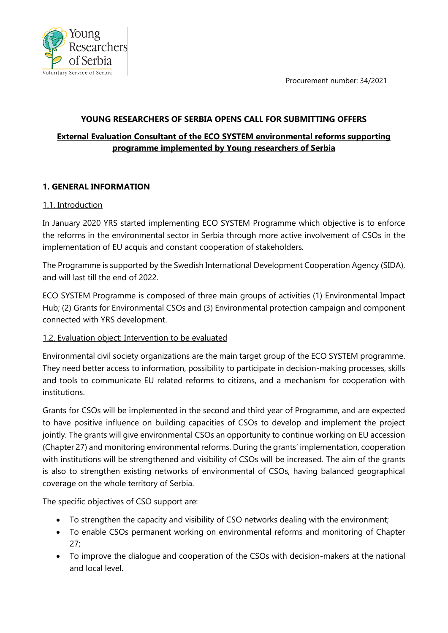Procurement number: 34/2021



#### **YOUNG RESEARCHERS OF SERBIA OPENS CALL FOR SUBMITTING OFFERS**

# **External Evaluation Consultant of the ECO SYSTEM environmental reforms supporting programme implemented by Young researchers of Serbia**

# **1. GENERAL INFORMATION**

#### 1.1. Introduction

In January 2020 YRS started implementing ECO SYSTEM Programme which objective is to enforce the reforms in the environmental sector in Serbia through more active involvement of CSOs in the implementation of EU acquis and constant cooperation of stakeholders.

The Programme is supported by the Swedish International Development Cooperation Agency (SIDA), and will last till the end of 2022.

ECO SYSTEM Programme is composed of three main groups of activities (1) Environmental Impact Hub; (2) Grants for Environmental CSOs and (3) Environmental protection campaign and component connected with YRS development.

# 1.2. Evaluation object: Intervention to be evaluated

Environmental civil society organizations are the main target group of the ECO SYSTEM programme. They need better access to information, possibility to participate in decision-making processes, skills and tools to communicate EU related reforms to citizens, and a mechanism for cooperation with institutions.

Grants for CSOs will be implemented in the second and third year of Programme, and are expected to have positive influence on building capacities of CSOs to develop and implement the project jointly. The grants will give environmental CSOs an opportunity to continue working on EU accession (Chapter 27) and monitoring environmental reforms. During the grants' implementation, cooperation with institutions will be strengthened and visibility of CSOs will be increased. The aim of the grants is also to strengthen existing networks of environmental of CSOs, having balanced geographical coverage on the whole territory of Serbia.

The specific objectives of CSO support are:

- To strengthen the capacity and visibility of CSO networks dealing with the environment;
- To enable CSOs permanent working on environmental reforms and monitoring of Chapter 27;
- To improve the dialogue and cooperation of the CSOs with decision-makers at the national and local level.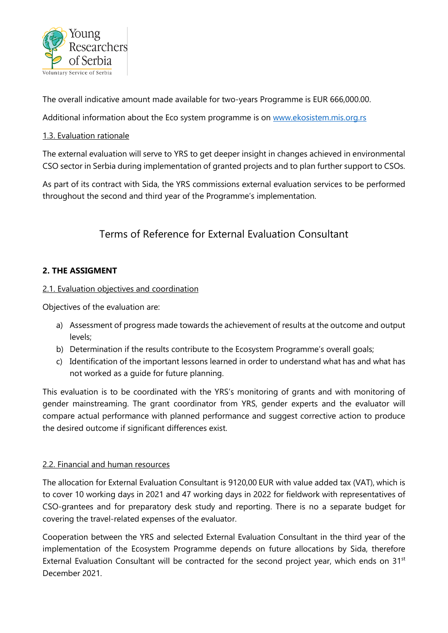

The overall indicative amount made available for two-years Programme is EUR 666,000.00.

Additional information about the Eco system programme is on [www.ekosistem.mis.org.rs](http://www.ekosistem.mis.org.rs/)

#### 1.3. Evaluation rationale

The external evaluation will serve to YRS to get deeper insight in changes achieved in environmental CSO sector in Serbia during implementation of granted projects and to plan further support to CSOs.

As part of its contract with Sida, the YRS commissions external evaluation services to be performed throughout the second and third year of the Programme's implementation.

# Terms of Reference for External Evaluation Consultant

# **2. THE ASSIGMENT**

## 2.1. Evaluation objectives and coordination

Objectives of the evaluation are:

- a) Assessment of progress made towards the achievement of results at the outcome and output levels;
- b) Determination if the results contribute to the Ecosystem Programme's overall goals;
- c) Identification of the important lessons learned in order to understand what has and what has not worked as a guide for future planning.

This evaluation is to be coordinated with the YRS's monitoring of grants and with monitoring of gender mainstreaming. The grant coordinator from YRS, gender experts and the evaluator will compare actual performance with planned performance and suggest corrective action to produce the desired outcome if significant differences exist.

# 2.2. Financial and human resources

The allocation for External Evaluation Consultant is 9120,00 EUR with value added tax (VAT), which is to cover 10 working days in 2021 and 47 working days in 2022 for fieldwork with representatives of CSO-grantees and for preparatory desk study and reporting. There is no a separate budget for covering the travel-related expenses of the evaluator.

Cooperation between the YRS and selected External Evaluation Consultant in the third year of the implementation of the Ecosystem Programme depends on future allocations by Sida, therefore External Evaluation Consultant will be contracted for the second project year, which ends on 31<sup>st</sup> December 2021.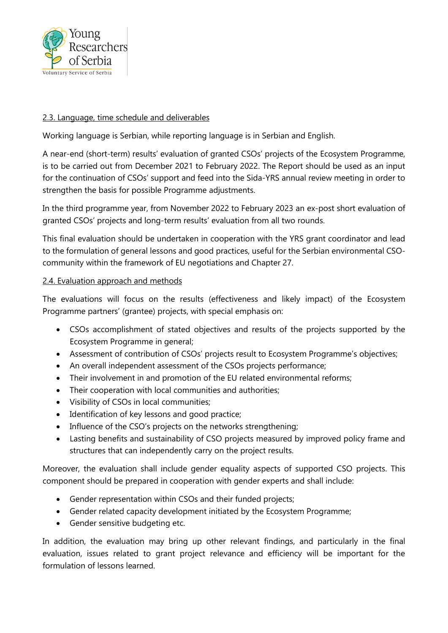

#### 2.3. Language, time schedule and deliverables

Working language is Serbian, while reporting language is in Serbian and English.

A near-end (short-term) results' evaluation of granted CSOs' projects of the Ecosystem Programme, is to be carried out from December 2021 to February 2022. The Report should be used as an input for the continuation of CSOs' support and feed into the Sida-YRS annual review meeting in order to strengthen the basis for possible Programme adjustments.

In the third programme year, from November 2022 to February 2023 an ex-post short evaluation of granted CSOs' projects and long-term results' evaluation from all two rounds.

This final evaluation should be undertaken in cooperation with the YRS grant coordinator and lead to the formulation of general lessons and good practices, useful for the Serbian environmental CSOcommunity within the framework of EU negotiations and Chapter 27.

#### 2.4. Evaluation approach and methods

The evaluations will focus on the results (effectiveness and likely impact) of the Ecosystem Programme partners' (grantee) projects, with special emphasis on:

- CSOs accomplishment of stated objectives and results of the projects supported by the Ecosystem Programme in general;
- Assessment of contribution of CSOs' projects result to Ecosystem Programme's objectives;
- An overall independent assessment of the CSOs projects performance;
- Their involvement in and promotion of the EU related environmental reforms;
- Their cooperation with local communities and authorities;
- Visibility of CSOs in local communities;
- Identification of key lessons and good practice;
- Influence of the CSO's projects on the networks strengthening;
- Lasting benefits and sustainability of CSO projects measured by improved policy frame and structures that can independently carry on the project results.

Moreover, the evaluation shall include gender equality aspects of supported CSO projects. This component should be prepared in cooperation with gender experts and shall include:

- Gender representation within CSOs and their funded projects;
- Gender related capacity development initiated by the Ecosystem Programme;
- Gender sensitive budgeting etc.

In addition, the evaluation may bring up other relevant findings, and particularly in the final evaluation, issues related to grant project relevance and efficiency will be important for the formulation of lessons learned.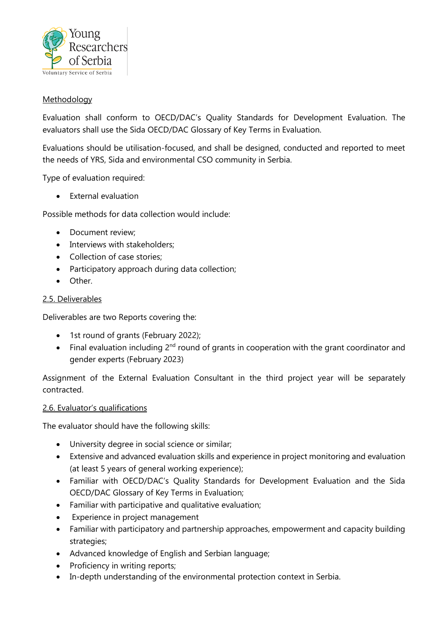

#### **Methodology**

Evaluation shall conform to OECD/DAC's Quality Standards for Development Evaluation. The evaluators shall use the Sida OECD/DAC Glossary of Key Terms in Evaluation.

Evaluations should be utilisation-focused, and shall be designed, conducted and reported to meet the needs of YRS, Sida and environmental CSO community in Serbia.

Type of evaluation required:

External evaluation

Possible methods for data collection would include:

- Document review;
- Interviews with stakeholders:
- Collection of case stories;
- Participatory approach during data collection;
- Other.

#### 2.5. Deliverables

Deliverables are two Reports covering the:

- 1st round of grants (February 2022);
- Final evaluation including  $2^{nd}$  round of grants in cooperation with the grant coordinator and gender experts (February 2023)

Assignment of the External Evaluation Consultant in the third project year will be separately contracted.

#### 2.6. Evaluator's qualifications

The evaluator should have the following skills:

- University degree in social science or similar;
- Extensive and advanced evaluation skills and experience in project monitoring and evaluation (at least 5 years of general working experience);
- Familiar with OECD/DAC's Quality Standards for Development Evaluation and the Sida OECD/DAC Glossary of Key Terms in Evaluation;
- Familiar with participative and qualitative evaluation;
- Experience in project management
- Familiar with participatory and partnership approaches, empowerment and capacity building strategies;
- Advanced knowledge of English and Serbian language;
- Proficiency in writing reports;
- In-depth understanding of the environmental protection context in Serbia.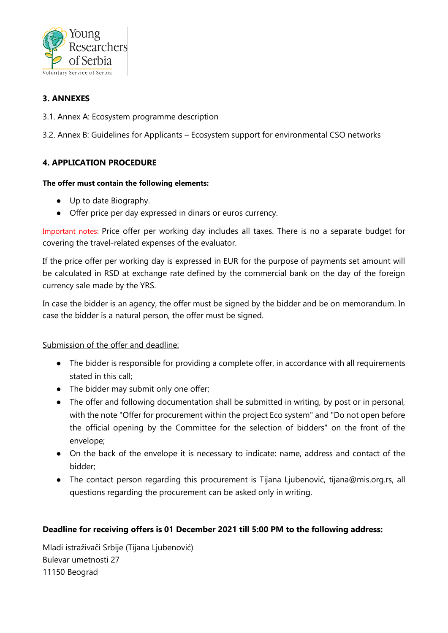

# **3. ANNEXES**

3.1. Annex A: Ecosystem programme description

3.2. Annex B: Guidelines for Applicants – Ecosystem support for environmental CSO networks

## **4. APPLICATION PROCEDURE**

#### **The offer must contain the following elements:**

- Up to date Biography.
- Offer price per day expressed in dinars or euros currency.

Important notes: Price offer per working day includes all taxes. There is no a separate budget for covering the travel-related expenses of the evaluator.

If the price offer per working day is expressed in EUR for the purpose of payments set amount will be calculated in RSD at exchange rate defined by the commercial bank on the day of the foreign currency sale made by the YRS.

In case the bidder is an agency, the offer must be signed by the bidder and be on memorandum. In case the bidder is a natural person, the offer must be signed.

Submission of the offer and deadline:

- The bidder is responsible for providing a complete offer, in accordance with all requirements stated in this call;
- The bidder may submit only one offer;
- The offer and following documentation shall be submitted in writing, by post or in personal, with the note "Offer for procurement within the project Eco system" and "Do not open before the official opening by the Committee for the selection of bidders" on the front of the envelope;
- On the back of the envelope it is necessary to indicate: name, address and contact of the bidder;
- The contact person regarding this procurement is Tijana Ljubenović, [tijana@mis.org.rs,](mailto:tijana@mis.org.rs) all questions regarding the procurement can be asked only in writing.

#### **Deadline for receiving offers is 01 December 2021 till 5:00 PM to the following address:**

Mladi istraživači Srbije (Tijana Ljubenović) Bulevar umetnosti 27 11150 Beograd